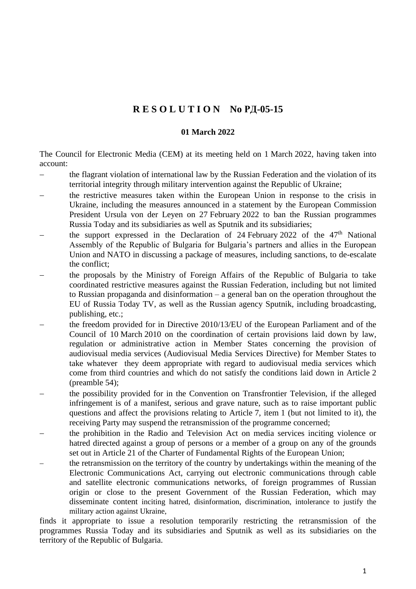## **R E S O L U T I O N No РД-05-15**

## **01 March 2022**

The Council for Electronic Media (CEM) at its meeting held on 1 March 2022, having taken into account:

- the flagrant violation of international law by the Russian Federation and the violation of its territorial integrity through military intervention against the Republic of Ukraine;
- the restrictive measures taken within the European Union in response to the crisis in Ukraine, including the measures announced in a statement by the European Commission President Ursula von der Leyen on 27 February 2022 to ban the Russian programmes Russia Today and its subsidiaries as well as Sputnik and its subsidiaries;
- the support expressed in the Declaration of 24 February 2022 of the  $47<sup>th</sup>$  National Assembly of the Republic of Bulgaria for Bulgaria's partners and allies in the European Union and NATO in discussing a package of measures, including sanctions, to de-escalate the conflict;
- − the proposals by the Ministry of Foreign Affairs of the Republic of Bulgaria to take coordinated restrictive measures against the Russian Federation, including but not limited to Russian propaganda and disinformation – a general ban on the operation throughout the EU of Russia Today TV, as well as the Russian agency Sputnik, including broadcasting, publishing, etc.;
- the freedom provided for in Directive 2010/13/EU of the European Parliament and of the Council of 10 March 2010 on the coordination of certain provisions laid down by law, regulation or administrative action in Member States concerning the provision of audiovisual media services (Audiovisual Media Services Directive) for Member States to take whatever they deem appropriate with regard to audiovisual media services which come from third countries and which do not satisfy the conditions laid down in Article 2 (preamble 54);
- the possibility provided for in the Convention on Transfrontier Television, if the alleged infringement is of a manifest, serious and grave nature, such as to raise important public questions and affect the provisions relating to Article [7, item](https://web.apis.bg/p.php?i=4401&b=0&p170122) 1 (but not limited to it), the receiving Party may suspend the retransmission of the programme concerned;
- − the prohibition in the Radio and Television Act on media services inciting violence or hatred directed against a group of persons or a member of a group on any of the grounds set out in Article [21 of the Charter of Fundamental Rights](https://web.apis.bg/e.php?i=628703&b=1&p6147048) [of the European Union;](https://web.apis.bg/e.php?i=628703&b=1&p6147048)
- the retransmission on the territory of the country by undertakings within the meaning of the Electronic Communications Act, carrying out electronic communications through cable and satellite electronic communications networks, of foreign programmes of Russian origin or close to the present Government of the Russian Federation, which may disseminate content inciting hatred, disinformation, discrimination, intolerance to justify the military action against Ukraine,

finds it appropriate to issue a resolution temporarily restricting the retransmission of the programmes Russia Today and its subsidiaries and Sputnik as well as its subsidiaries on the territory of the Republic of Bulgaria.